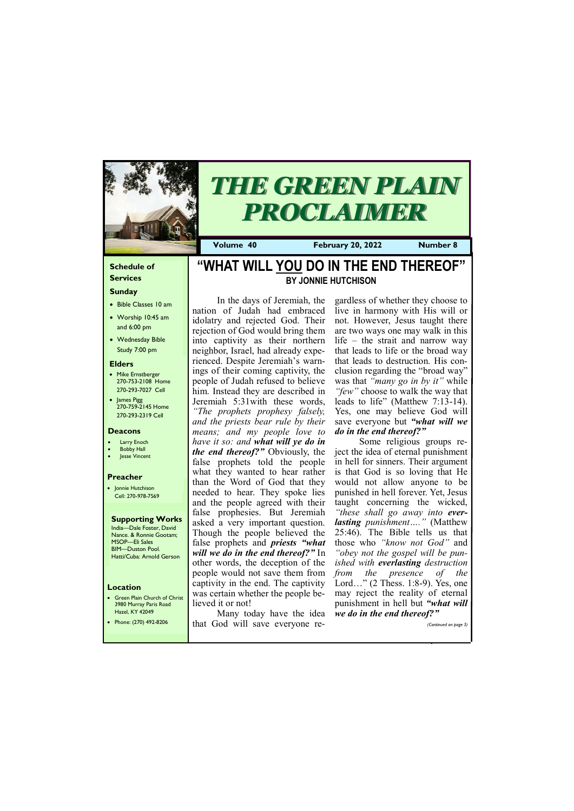### **Schedule of Services**

### **Sunday**

- Bible Classes 10 am
- Worship 10:45 am and 6:00 pm
- Wednesday Bible Study 7:00 pm

• Green Plain Church of Christ 3980 Murray Paris Road  $H_{\text{total}}$ , KY  $A^*$ 

### **Elders**

- Mike Ernstberger 270-753-2108 Home 270-293-7027 Cell
- James Pigg 270-759-2145 Home 270-293-2319 Cell

### **Location**



# *THE GREEN PLAIN PROCLAIMER*

**Volume 40 February 20, 2022 Number 8**

### **Deacons**

- **Larry Enoch**
- **Bobby Hall**
- Jesse Vincent

### **Preacher**

• Jonnie Hutchison Cell: 270-978-7569

### **Supporting Works** India—Dale Foster, David Nance. & Ronnie Gootam;

MSOP—Eli Sales BIM—Duston Pool. Hatti/Cuba: Arnold Gerson

# **"WHAT WILL YOU DO IN THE END THEREOF" BY JONNIE HUTCHISON**

In the days of Jeremiah, the nation of Judah had embraced idolatry and rejected God. Their rejection of God would bring them into captivity as their northern neighbor, Israel, had already experienced. Despite Jeremiah's warnings of their coming captivity, the people of Judah refused to believe him. Instead they are described in Jeremiah 5:31with these words, *"The prophets prophesy falsely, and the priests bear rule by their means; and my people love to have it so: and what will ye do in the end thereof?"* Obviously, the false prophets told the people what they wanted to hear rather than the Word of God that they needed to hear. They spoke lies and the people agreed with their false prophesies. But Jeremiah asked a very important question. Though the people believed the false prophets and *priests "what will we do in the end thereof?"* In other words, the deception of the people would not save them from captivity in the end. The captivity was certain whether the people believed it or not!

| Hazel, KY 42049       | Many today have the idea we do in the end thereof?" |                       |
|-----------------------|-----------------------------------------------------|-----------------------|
| Phone: (270) 492-8206 | that God will save everyone re-                     | (Continued on page 3) |
|                       |                                                     |                       |

gardless of whether they choose to live in harmony with His will or not. However, Jesus taught there are two ways one may walk in this life – the strait and narrow way that leads to life or the broad way that leads to destruction. His conclusion regarding the "broad way" was that *"many go in by it"* while *"few"* choose to walk the way that leads to life" (Matthew 7:13-14). Yes, one may believe God will save everyone but *"what will we do in the end thereof?"*

Some religious groups reject the idea of eternal punishment in hell for sinners. Their argument is that God is so loving that He would not allow anyone to be punished in hell forever. Yet, Jesus taught concerning the wicked, *"these shall go away into everlasting punishment…."* (Matthew 25:46). The Bible tells us that those who *"know not God"* and *"obey not the gospel will be punished with everlasting destruction from the presence of the*  Lord…" (2 Thess. 1:8-9). Yes, one may reject the reality of eternal punishment in hell but *"what will we do in the end thereof?"*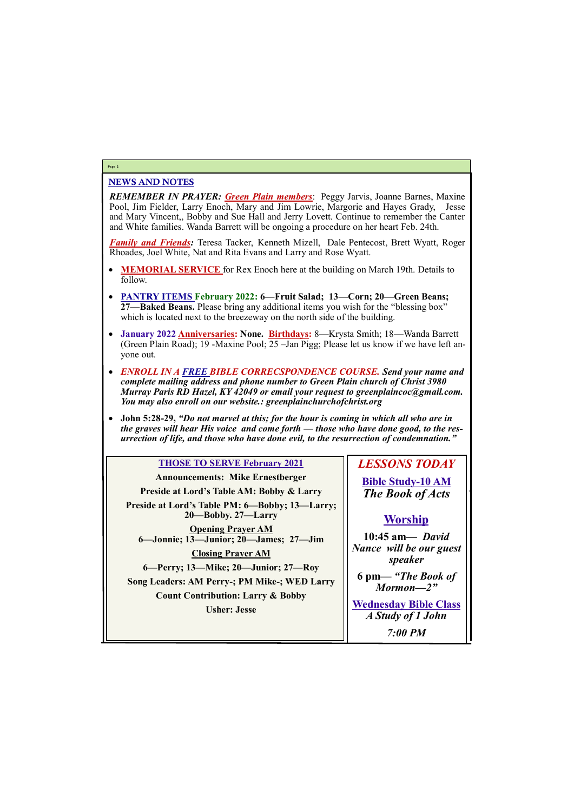### NEWS AND NOTES

*REMEMBER IN PRAYER: Green Plain members*: Peggy Jarvis, Joanne Barnes, Maxine Pool, Jim Fielder, Larry Enoch, Mary and Jim Lowrie, Margorie and Hayes Grady, Jesse and Mary Vincent,, Bobby and Sue Hall and Jerry Lovett. Continue to remember the Canter and White families. Wanda Barrett will be ongoing a procedure on her heart Feb. 24th.

*Family and Friends:* Teresa Tacker, Kenneth Mizell, Dale Pentecost, Brett Wyatt, Roger Rhoades, Joel White, Nat and Rita Evans and Larry and Rose Wyatt.

- **MEMORIAL SERVICE** for Rex Enoch here at the building on March 19th. Details to follow.
- **PANTRY ITEMS February 2022: 6—Fruit Salad; 13—Corn; 20—Green Beans; 27—Baked Beans.** Please bring any additional items you wish for the "blessing box" which is located next to the breezeway on the north side of the building.
- **January 2022 Anniversaries: None. Birthdays:** 8—Krysta Smith; 18—Wanda Barrett (Green Plain Road); 19 -Maxine Pool; 25 –Jan Pigg; Please let us know if we have left anyone out.
- *ENROLL IN A FREE BIBLE CORRECSPONDENCE COURSE. Send your name and complete mailing address and phone number to Green Plain church of Christ 3980 Murray Paris RD Hazel, KY 42049 or email your request to greenplaincoc@gmail.com. You may also enroll on our website.: greenplainchurchofchrist.org*
- **John 5:28-29,** *"Do not marvel at this; for the hour is coming in which all who are in the graves will hear His voice and come forth — those who have done good, to the resurrection of life, and those who have done evil, to the resurrection of condemnation."*

### **Page 2**

### **THOSE TO SERVE February 2021**

**Announcements: Mike Ernestberger Preside at Lord's Table AM: Bobby & Larry Preside at Lord's Table PM: 6—Bobby; 13—Larry; 20—Bobby. 27—Larry Opening Prayer AM 6—Jonnie; 13—Junior; 20—James; 27—Jim Closing Prayer AM 6—Perry; 13—Mike; 20—Junior; 27—Roy Song Leaders: AM Perry-; PM Mike-; WED Larry Count Contribution: Larry & Bobby**

**Usher: Jesse**

# *LESSONS TODAY*

**Bible Study-10 AM** *The Book of Acts*

## **Worship**

**10:45 am***— David Nance will be our guest speaker*

**6 pm—** *"The Book of Mormon—2"*

**Wednesday Bible Class**

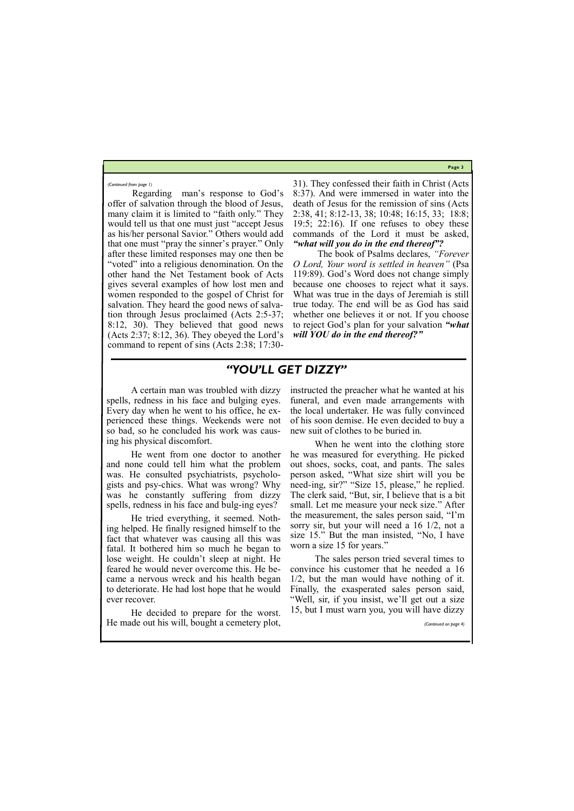**Page 3**

Regarding man's response to God's offer of salvation through the blood of Jesus, many claim it is limited to "faith only." They would tell us that one must just "accept Jesus as his/her personal Savior." Others would add that one must "pray the sinner's prayer." Only after these limited responses may one then be "voted" into a religious denomination. On the other hand the Net Testament book of Acts gives several examples of how lost men and women responded to the gospel of Christ for salvation. They heard the good news of salvation through Jesus proclaimed (Acts 2:5-37; 8:12, 30). They believed that good news (Acts 2:37; 8:12, 36). They obeyed the Lord's command to repent of sins (Acts 2:38; 17:3031). They confessed their faith in Christ (Acts 8:37). And were immersed in water into the death of Jesus for the remission of sins (Acts 2:38, 41; 8:12-13, 38; 10:48; 16:15, 33; 18:8; 19:5; 22:16). If one refuses to obey these commands of the Lord it must be asked, *"what will you do in the end thereof"?*

The book of Psalms declares, *"Forever O Lord, Your word is settled in heaven"* (Psa 119:89). God's Word does not change simply because one chooses to reject what it says. What was true in the days of Jeremiah is still true today. The end will be as God has said whether one believes it or not. If you choose to reject God's plan for your salvation *"what will YOU do in the end thereof?"*

*(Continued from page 1)*

# *"YOU'LL GET DIZZY"*

A certain man was troubled with dizzy spells, redness in his face and bulging eyes. Every day when he went to his office, he experienced these things. Weekends were not so bad, so he concluded his work was causing his physical discomfort.

He went from one doctor to another and none could tell him what the problem was. He consulted psychiatrists, psychologists and psy-chics. What was wrong? Why was he constantly suffering from dizzy spells, redness in his face and bulg-ing eyes?

He tried everything, it seemed. Nothing helped. He finally resigned himself to the fact that whatever was causing all this was fatal. It bothered him so much he began to lose weight. He couldn't sleep at night. He feared he would never overcome this. He became a nervous wreck and his health began to deteriorate. He had lost hope that he would ever recover.

instructed the preacher what he wanted at his funeral, and even made arrangements with the local undertaker. He was fully convinced of his soon demise. He even decided to buy a new suit of clothes to be buried in.

He decided to prepare for the worst. He made out his will, bought a cemetery plot, *(Continued on page 4)*

When he went into the clothing store he was measured for everything. He picked out shoes, socks, coat, and pants. The sales person asked, "What size shirt will you be need-ing, sir?" "Size 15, please," he replied. The clerk said, "But, sir, I believe that is a bit small. Let me measure your neck size." After the measurement, the sales person said, "I'm sorry sir, but your will need a 16 1/2, not a size 15." But the man insisted, "No, I have worn a size 15 for years."

The sales person tried several times to convince his customer that he needed a 16 1/2, but the man would have nothing of it. Finally, the exasperated sales person said, "Well, sir, if you insist, we'll get out a size 15, but I must warn you, you will have dizzy